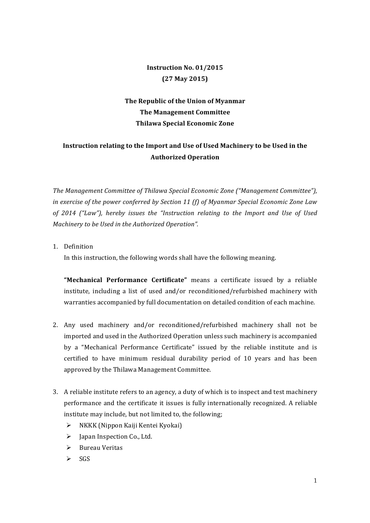## **Instruction No. 01/2015 (27 May 2015)**

## The Republic of the Union of Myanmar **The Management Committee Thilawa Special Economic Zone**

## **Instruction relating to the Import and Use of Used Machinery to be Used in the Authorized Operation**

The Management Committee of Thilawa Special Economic Zone ("Management Committee"), *in exercise of the power conferred by Section 11 (f) of Myanmar Special Economic Zone Law of 2014 ("Law"), hereby issues the "Instruction relating to the Import and Use of Used Machinery to be Used in the Authorized Operation".* 

1. Definition

In this instruction, the following words shall have the following meaning.

"Mechanical Performance Certificate" means a certificate issued by a reliable institute, including a list of used and/or reconditioned/refurbished machinery with warranties accompanied by full documentation on detailed condition of each machine.

- 2. Any used machinery and/or reconditioned/refurbished machinery shall not be imported and used in the Authorized Operation unless such machinery is accompanied by a "Mechanical Performance Certificate" issued by the reliable institute and is certified to have minimum residual durability period of 10 years and has been approved by the Thilawa Management Committee.
- 3. A reliable institute refers to an agency, a duty of which is to inspect and test machinery performance and the certificate it issues is fully internationally recognized. A reliable institute may include, but not limited to, the following;
	- $\triangleright$  NKKK (Nippon Kaiji Kentei Kyokai)
	- $\triangleright$  Japan Inspection Co., Ltd.
	- $\triangleright$  Bureau Veritas
	- $\triangleright$  SGS